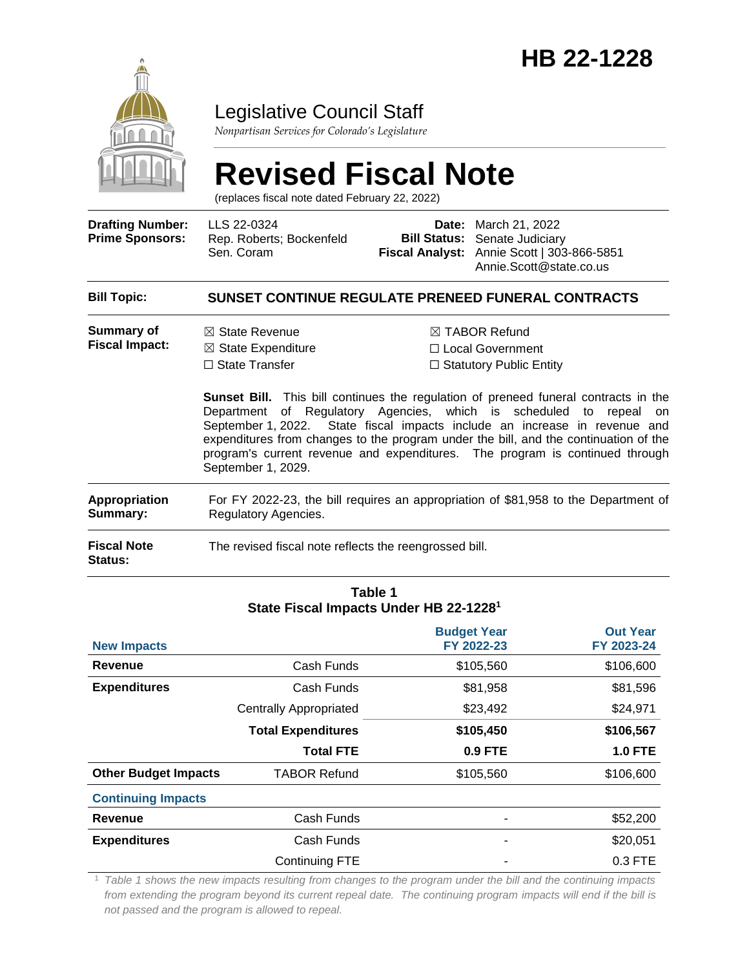

### Legislative Council Staff

*Nonpartisan Services for Colorado's Legislature*

# **Revised Fiscal Note**

(replaces fiscal note dated February 22, 2022)

| <b>Drafting Number:</b><br><b>Prime Sponsors:</b> | LLS 22-0324<br>Rep. Roberts; Bockenfeld<br>Sen. Coram                                                       | <b>Bill Status:</b>                                                                                                                                                                                                                                                                                                                                                                                                                                                                                        | <b>Date:</b> March 21, 2022<br>Senate Judiciary<br>Fiscal Analyst: Annie Scott   303-866-5851<br>Annie.Scott@state.co.us |  |  |  |
|---------------------------------------------------|-------------------------------------------------------------------------------------------------------------|------------------------------------------------------------------------------------------------------------------------------------------------------------------------------------------------------------------------------------------------------------------------------------------------------------------------------------------------------------------------------------------------------------------------------------------------------------------------------------------------------------|--------------------------------------------------------------------------------------------------------------------------|--|--|--|
| <b>Bill Topic:</b>                                | <b>SUNSET CONTINUE REGULATE PRENEED FUNERAL CONTRACTS</b>                                                   |                                                                                                                                                                                                                                                                                                                                                                                                                                                                                                            |                                                                                                                          |  |  |  |
| Summary of<br><b>Fiscal Impact:</b>               | $\boxtimes$ State Revenue<br>$\boxtimes$ State Expenditure<br>$\Box$ State Transfer<br>September 1, 2029.   | $\boxtimes$ TABOR Refund<br>□ Local Government<br>$\Box$ Statutory Public Entity<br><b>Sunset Bill.</b> This bill continues the regulation of preneed funeral contracts in the<br>Department of Regulatory Agencies, which is scheduled to repeal on<br>September 1, 2022. State fiscal impacts include an increase in revenue and<br>expenditures from changes to the program under the bill, and the continuation of the<br>program's current revenue and expenditures. The program is continued through |                                                                                                                          |  |  |  |
| <b>Appropriation</b><br>Summary:                  | For FY 2022-23, the bill requires an appropriation of \$81,958 to the Department of<br>Regulatory Agencies. |                                                                                                                                                                                                                                                                                                                                                                                                                                                                                                            |                                                                                                                          |  |  |  |
| <b>Fiscal Note</b><br><b>Status:</b>              | The revised fiscal note reflects the reengrossed bill.                                                      |                                                                                                                                                                                                                                                                                                                                                                                                                                                                                                            |                                                                                                                          |  |  |  |

#### **Table 1 State Fiscal Impacts Under HB 22-1228<sup>1</sup>**

| <b>New Impacts</b>          |                               | <b>Budget Year</b><br>FY 2022-23 | <b>Out Year</b><br>FY 2023-24 |
|-----------------------------|-------------------------------|----------------------------------|-------------------------------|
| Revenue                     | Cash Funds                    | \$105,560                        | \$106,600                     |
| <b>Expenditures</b>         | Cash Funds                    | \$81,958                         | \$81,596                      |
|                             | <b>Centrally Appropriated</b> | \$23,492                         | \$24,971                      |
|                             | <b>Total Expenditures</b>     | \$105,450                        | \$106,567                     |
|                             | <b>Total FTE</b>              | 0.9 FTE                          | <b>1.0 FTE</b>                |
| <b>Other Budget Impacts</b> | <b>TABOR Refund</b>           | \$105,560                        | \$106,600                     |
| <b>Continuing Impacts</b>   |                               |                                  |                               |
| Revenue                     | Cash Funds                    |                                  | \$52,200                      |
| <b>Expenditures</b>         | Cash Funds                    | ٠                                | \$20,051                      |
|                             | <b>Continuing FTE</b>         |                                  | $0.3$ FTE                     |

<sup>1</sup> *Table 1 shows the new impacts resulting from changes to the program under the bill and the continuing impacts from extending the program beyond its current repeal date. The continuing program impacts will end if the bill is not passed and the program is allowed to repeal.*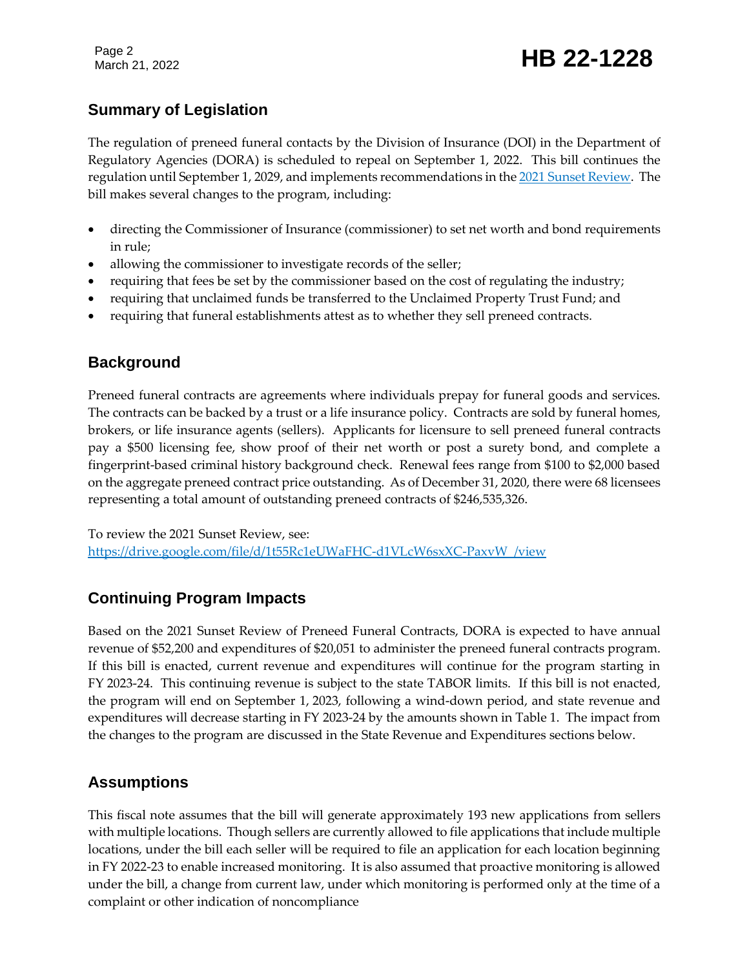Page 2

## Page 2<br>March 21, 2022 **HB 22-1228**

### **Summary of Legislation**

The regulation of preneed funeral contacts by the Division of Insurance (DOI) in the Department of Regulatory Agencies (DORA) is scheduled to repeal on September 1, 2022. This bill continues the regulation until September 1, 2029, and implements recommendations in th[e 2021 Sunset Review.](https://drive.google.com/file/d/1t55Rc1eUWaFHC-d1VLcW6sxXC-PaxvW_/view) The bill makes several changes to the program, including:

- directing the Commissioner of Insurance (commissioner) to set net worth and bond requirements in rule;
- allowing the commissioner to investigate records of the seller;
- requiring that fees be set by the commissioner based on the cost of regulating the industry;
- requiring that unclaimed funds be transferred to the Unclaimed Property Trust Fund; and
- requiring that funeral establishments attest as to whether they sell preneed contracts.

### **Background**

Preneed funeral contracts are agreements where individuals prepay for funeral goods and services. The contracts can be backed by a trust or a life insurance policy. Contracts are sold by funeral homes, brokers, or life insurance agents (sellers). Applicants for licensure to sell preneed funeral contracts pay a \$500 licensing fee, show proof of their net worth or post a surety bond, and complete a fingerprint-based criminal history background check. Renewal fees range from \$100 to \$2,000 based on the aggregate preneed contract price outstanding. As of December 31, 2020, there were 68 licensees representing a total amount of outstanding preneed contracts of \$246,535,326.

To review the 2021 Sunset Review, see: [https://drive.google.com/file/d/1t55Rc1eUWaFHC-d1VLcW6sxXC-PaxvW\\_/view](https://drive.google.com/file/d/1t55Rc1eUWaFHC-d1VLcW6sxXC-PaxvW_/view)

### **Continuing Program Impacts**

Based on the 2021 Sunset Review of Preneed Funeral Contracts, DORA is expected to have annual revenue of \$52,200 and expenditures of \$20,051 to administer the preneed funeral contracts program. If this bill is enacted, current revenue and expenditures will continue for the program starting in FY 2023-24. This continuing revenue is subject to the state TABOR limits. If this bill is not enacted, the program will end on September 1, 2023, following a wind-down period, and state revenue and expenditures will decrease starting in FY 2023-24 by the amounts shown in Table 1. The impact from the changes to the program are discussed in the State Revenue and Expenditures sections below.

### **Assumptions**

This fiscal note assumes that the bill will generate approximately 193 new applications from sellers with multiple locations. Though sellers are currently allowed to file applications that include multiple locations, under the bill each seller will be required to file an application for each location beginning in FY 2022-23 to enable increased monitoring. It is also assumed that proactive monitoring is allowed under the bill, a change from current law, under which monitoring is performed only at the time of a complaint or other indication of noncompliance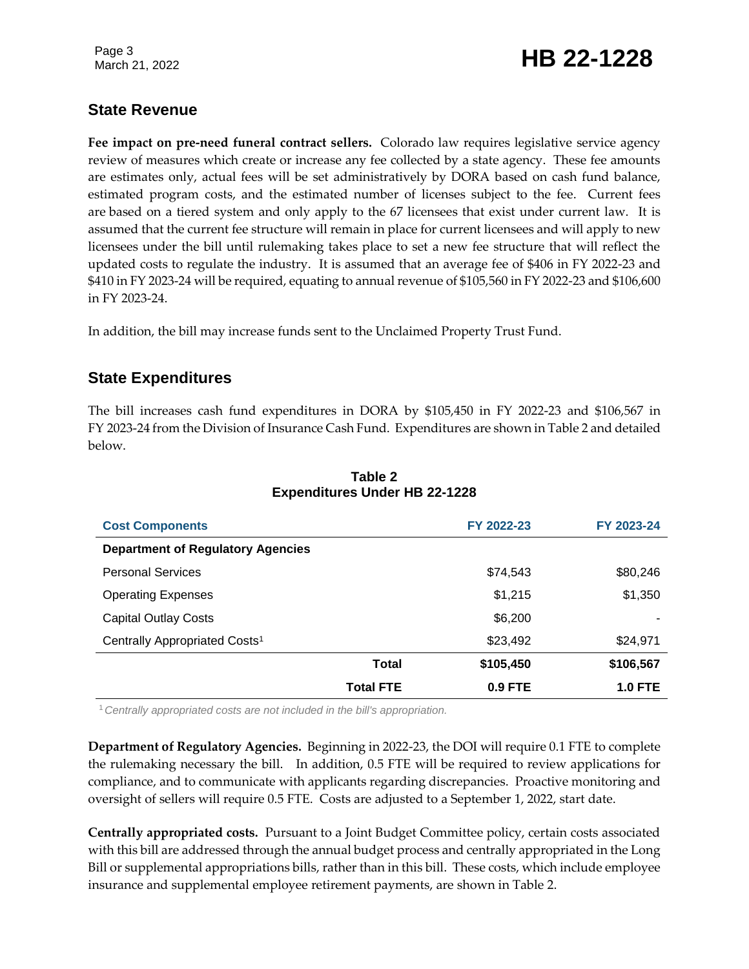Page 3

## Page 3<br>March 21, 2022 **HB 22-1228**

### **State Revenue**

**Fee impact on pre-need funeral contract sellers.** Colorado law requires legislative service agency review of measures which create or increase any fee collected by a state agency. These fee amounts are estimates only, actual fees will be set administratively by DORA based on cash fund balance, estimated program costs, and the estimated number of licenses subject to the fee. Current fees are based on a tiered system and only apply to the 67 licensees that exist under current law. It is assumed that the current fee structure will remain in place for current licensees and will apply to new licensees under the bill until rulemaking takes place to set a new fee structure that will reflect the updated costs to regulate the industry. It is assumed that an average fee of \$406 in FY 2022-23 and \$410 in FY 2023-24 will be required, equating to annual revenue of \$105,560 in FY 2022-23 and \$106,600 in FY 2023-24.

In addition, the bill may increase funds sent to the Unclaimed Property Trust Fund.

### **State Expenditures**

The bill increases cash fund expenditures in DORA by \$105,450 in FY 2022-23 and \$106,567 in FY 2023-24 from the Division of Insurance Cash Fund. Expenditures are shown in Table 2 and detailed below.

| <b>Cost Components</b>                    |                  | FY 2022-23 | FY 2023-24 |  |  |
|-------------------------------------------|------------------|------------|------------|--|--|
| <b>Department of Regulatory Agencies</b>  |                  |            |            |  |  |
| <b>Personal Services</b>                  |                  | \$74,543   | \$80,246   |  |  |
| <b>Operating Expenses</b>                 |                  | \$1,215    | \$1,350    |  |  |
| <b>Capital Outlay Costs</b>               |                  | \$6,200    |            |  |  |
| Centrally Appropriated Costs <sup>1</sup> |                  | \$23,492   | \$24,971   |  |  |
|                                           | Total            | \$105,450  | \$106,567  |  |  |
|                                           | <b>Total FTE</b> | 0.9 FTE    | $1.0$ FTE  |  |  |

#### **Table 2 Expenditures Under HB 22-1228**

<sup>1</sup>*Centrally appropriated costs are not included in the bill's appropriation.*

**Department of Regulatory Agencies.** Beginning in 2022-23, the DOI will require 0.1 FTE to complete the rulemaking necessary the bill. In addition, 0.5 FTE will be required to review applications for compliance, and to communicate with applicants regarding discrepancies. Proactive monitoring and oversight of sellers will require 0.5 FTE. Costs are adjusted to a September 1, 2022, start date.

**Centrally appropriated costs.** Pursuant to a Joint Budget Committee policy, certain costs associated with this bill are addressed through the annual budget process and centrally appropriated in the Long Bill or supplemental appropriations bills, rather than in this bill. These costs, which include employee insurance and supplemental employee retirement payments, are shown in Table 2.